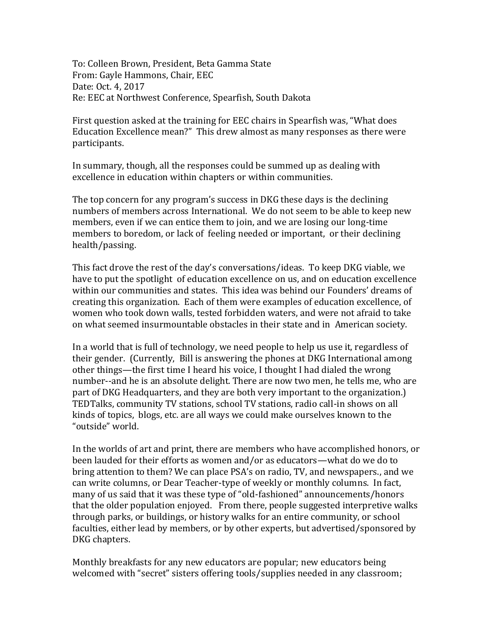To: Colleen Brown, President, Beta Gamma State From: Gayle Hammons, Chair, EEC Date: Oct. 4, 2017 Re: EEC at Northwest Conference, Spearfish, South Dakota

First question asked at the training for EEC chairs in Spearfish was, "What does Education Excellence mean?" This drew almost as many responses as there were participants.

In summary, though, all the responses could be summed up as dealing with excellence in education within chapters or within communities.

The top concern for any program's success in DKG these days is the declining numbers of members across International. We do not seem to be able to keep new members, even if we can entice them to join, and we are losing our long-time members to boredom, or lack of feeling needed or important, or their declining health/passing.

This fact drove the rest of the day's conversations/ideas. To keep DKG viable, we have to put the spotlight of education excellence on us, and on education excellence within our communities and states. This idea was behind our Founders' dreams of creating this organization. Each of them were examples of education excellence, of women who took down walls, tested forbidden waters, and were not afraid to take on what seemed insurmountable obstacles in their state and in American society.

In a world that is full of technology, we need people to help us use it, regardless of their gender. (Currently, Bill is answering the phones at DKG International among other things—the first time I heard his voice, I thought I had dialed the wrong number--and he is an absolute delight. There are now two men, he tells me, who are part of DKG Headquarters, and they are both very important to the organization.) TEDTalks, community TV stations, school TV stations, radio call-in shows on all kinds of topics, blogs, etc. are all ways we could make ourselves known to the "outside" world.

In the worlds of art and print, there are members who have accomplished honors, or been lauded for their efforts as women and/or as educators—what do we do to bring attention to them? We can place PSA's on radio, TV, and newspapers., and we can write columns, or Dear Teacher-type of weekly or monthly columns. In fact, many of us said that it was these type of "old-fashioned" announcements/honors that the older population enjoyed. From there, people suggested interpretive walks through parks, or buildings, or history walks for an entire community, or school faculties, either lead by members, or by other experts, but advertised/sponsored by DKG chapters.

Monthly breakfasts for any new educators are popular; new educators being welcomed with "secret" sisters offering tools/supplies needed in any classroom;